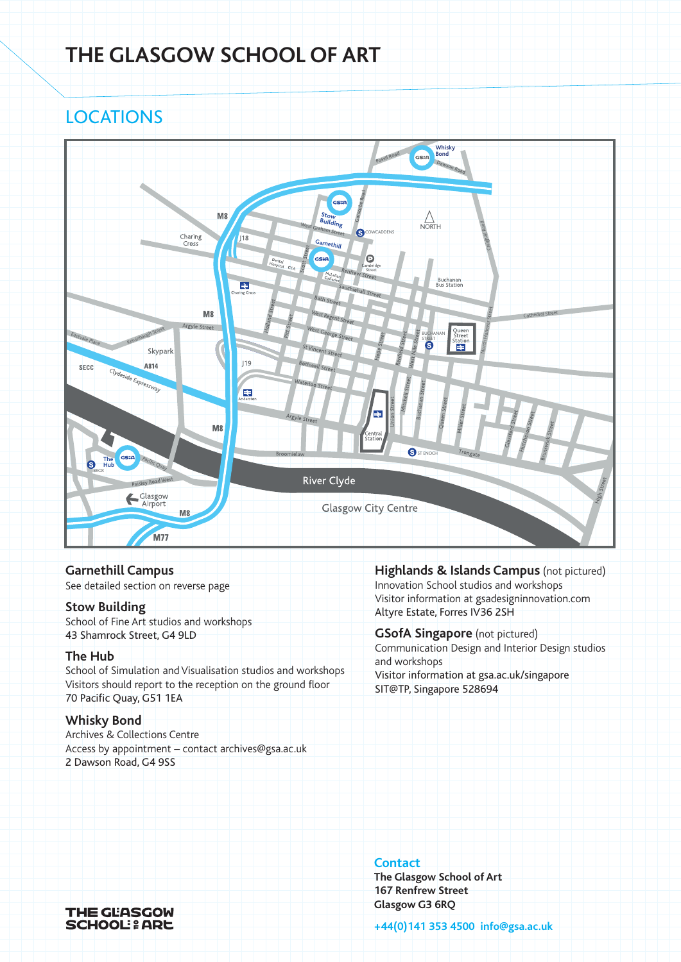# **THE GLASGOW SCHOOL OF ART**

# **LOCATIONS**



**Garnethill Campus**

See detailed section on reverse page

#### **Stow Building**

School of Fine Art studios and workshops 43 Shamrock Street, G4 9LD

### **The Hub**

School of Simulation and Visualisation studios and workshops Visitors should report to the reception on the ground floor 70 Pacific Quay, G51 1EA

### **Whisky Bond**

Archives & Collections Centre Access by appointment – contact archives@gsa.ac.uk 2 Dawson Road, G4 9SS

**Highlands & Islands Campus** (not pictured) Innovation School studios and workshops Visitor information at gsadesigninnovation.com Altyre Estate, Forres IV36 2SH

**GSofA Singapore** (not pictured) Communication Design and Interior Design studios and workshops Visitor information at gsa.ac.uk/singapore SIT@TP, Singapore 528694

### **Contact**

**The Glasgow School of Art 167 Renfrew Street Glasgow G3 6RQ**

**+44(0)141 353 4500 info@gsa.ac.uk**